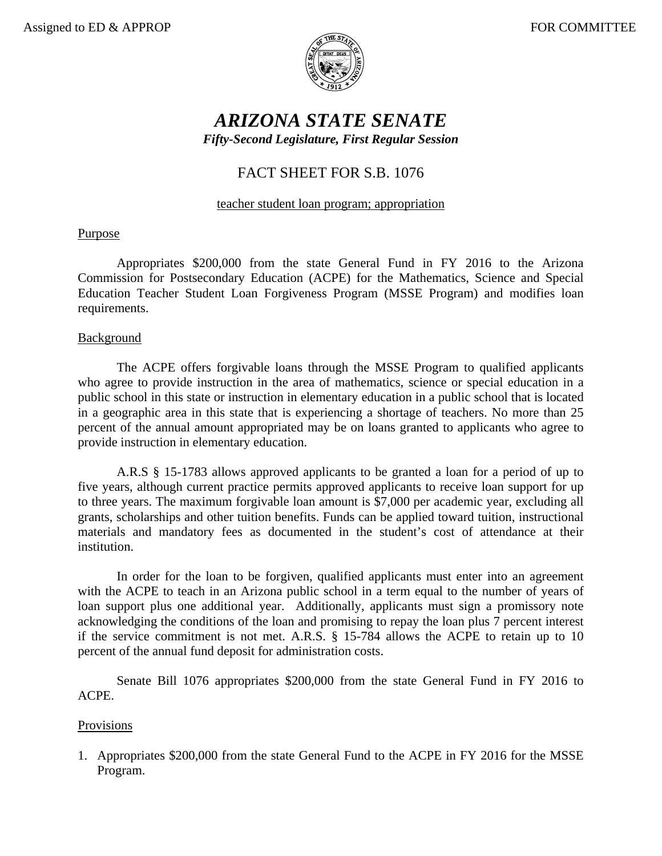

# *ARIZONA STATE SENATE Fifty-Second Legislature, First Regular Session*

## FACT SHEET FOR S.B. 1076

#### teacher student loan program; appropriation

#### Purpose

Appropriates \$200,000 from the state General Fund in FY 2016 to the Arizona Commission for Postsecondary Education (ACPE) for the Mathematics, Science and Special Education Teacher Student Loan Forgiveness Program (MSSE Program) and modifies loan requirements.

#### **Background**

The ACPE offers forgivable loans through the MSSE Program to qualified applicants who agree to provide instruction in the area of mathematics, science or special education in a public school in this state or instruction in elementary education in a public school that is located in a geographic area in this state that is experiencing a shortage of teachers. No more than 25 percent of the annual amount appropriated may be on loans granted to applicants who agree to provide instruction in elementary education.

A.R.S § 15-1783 allows approved applicants to be granted a loan for a period of up to five years, although current practice permits approved applicants to receive loan support for up to three years. The maximum forgivable loan amount is \$7,000 per academic year, excluding all grants, scholarships and other tuition benefits. Funds can be applied toward tuition, instructional materials and mandatory fees as documented in the student's cost of attendance at their institution.

In order for the loan to be forgiven, qualified applicants must enter into an agreement with the ACPE to teach in an Arizona public school in a term equal to the number of years of loan support plus one additional year. Additionally, applicants must sign a promissory note acknowledging the conditions of the loan and promising to repay the loan plus 7 percent interest if the service commitment is not met. A.R.S. § 15-784 allows the ACPE to retain up to 10 percent of the annual fund deposit for administration costs.

 Senate Bill 1076 appropriates \$200,000 from the state General Fund in FY 2016 to ACPE.

### Provisions

1. Appropriates \$200,000 from the state General Fund to the ACPE in FY 2016 for the MSSE Program.